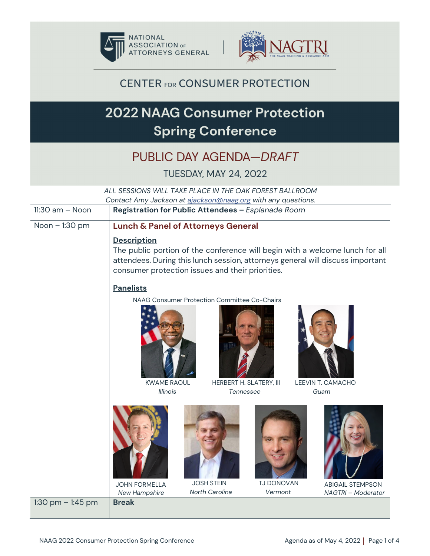



**CENTER FOR CONSUMER PROTECTION** 

# **2022 NAAG Consumer Protection Spring Conference**

# PUBLIC DAY AGENDA-DRAFT

#### **TUESDAY, MAY 24, 2022**

| ALL SESSIONS WILL TAKE PLACE IN THE OAK FOREST BALLROOM<br>Contact Amy Jackson at ajackson@naag.org with any questions. |                                                                        |                                                                         |                              |                                                                                                                                                                |
|-------------------------------------------------------------------------------------------------------------------------|------------------------------------------------------------------------|-------------------------------------------------------------------------|------------------------------|----------------------------------------------------------------------------------------------------------------------------------------------------------------|
| $11:30$ am $-$ Noon                                                                                                     | Registration for Public Attendees - Esplanade Room                     |                                                                         |                              |                                                                                                                                                                |
| Noon - 1:30 pm                                                                                                          | <b>Lunch &amp; Panel of Attorneys General</b>                          |                                                                         |                              |                                                                                                                                                                |
|                                                                                                                         | <b>Description</b><br>consumer protection issues and their priorities. |                                                                         |                              | The public portion of the conference will begin with a welcome lunch for all<br>attendees. During this lunch session, attorneys general will discuss important |
|                                                                                                                         | <b>Panelists</b>                                                       |                                                                         |                              |                                                                                                                                                                |
|                                                                                                                         | <b>KWAME RAOUL</b>                                                     | NAAG Consumer Protection Committee Co-Chairs<br>HERBERT H. SLATERY, III |                              | LEEVIN T. CAMACHO                                                                                                                                              |
|                                                                                                                         | <b>Illinois</b>                                                        | Tennessee                                                               |                              | Guam                                                                                                                                                           |
|                                                                                                                         | <b>JOHN FORMELLA</b><br>New Hampshire                                  | <b>JOSH STEIN</b><br>North Carolina                                     | <b>TJ DONOVAN</b><br>Vermont | <b>ABIGAIL STEMPSON</b><br>NAGTRI - Moderator                                                                                                                  |
| 1:30 pm $-$ 1:45 pm                                                                                                     | <b>Break</b>                                                           |                                                                         |                              |                                                                                                                                                                |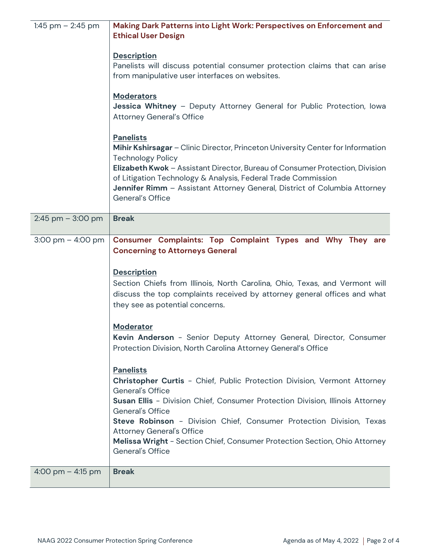| 1:45 pm $-$ 2:45 pm                 | Making Dark Patterns into Light Work: Perspectives on Enforcement and<br><b>Ethical User Design</b>                                                                                                                                                                                                                                                                               |  |  |
|-------------------------------------|-----------------------------------------------------------------------------------------------------------------------------------------------------------------------------------------------------------------------------------------------------------------------------------------------------------------------------------------------------------------------------------|--|--|
|                                     | <b>Description</b><br>Panelists will discuss potential consumer protection claims that can arise<br>from manipulative user interfaces on websites.<br><b>Moderators</b><br>Jessica Whitney - Deputy Attorney General for Public Protection, Iowa<br><b>Attorney General's Office</b>                                                                                              |  |  |
|                                     | <b>Panelists</b><br>Mihir Kshirsagar - Clinic Director, Princeton University Center for Information<br><b>Technology Policy</b><br>Elizabeth Kwok - Assistant Director, Bureau of Consumer Protection, Division<br>of Litigation Technology & Analysis, Federal Trade Commission<br>Jennifer Rimm - Assistant Attorney General, District of Columbia Attorney<br>General's Office |  |  |
| $2:45$ pm $-3:00$ pm                | <b>Break</b>                                                                                                                                                                                                                                                                                                                                                                      |  |  |
| $3:00 \text{ pm} - 4:00 \text{ pm}$ | Consumer Complaints: Top Complaint Types and Why They are<br><b>Concerning to Attorneys General</b><br><b>Description</b><br>Section Chiefs from Illinois, North Carolina, Ohio, Texas, and Vermont will<br>discuss the top complaints received by attorney general offices and what<br>they see as potential concerns.                                                           |  |  |
|                                     | <b>Moderator</b><br>Kevin Anderson - Senior Deputy Attorney General, Director, Consumer<br>Protection Division, North Carolina Attorney General's Office                                                                                                                                                                                                                          |  |  |
|                                     | <b>Panelists</b><br>Christopher Curtis - Chief, Public Protection Division, Vermont Attorney<br>General's Office<br>Susan Ellis - Division Chief, Consumer Protection Division, Illinois Attorney<br>General's Office<br>Steve Robinson - Division Chief, Consumer Protection Division, Texas                                                                                     |  |  |
|                                     | <b>Attorney General's Office</b><br>Melissa Wright - Section Chief, Consumer Protection Section, Ohio Attorney<br>General's Office                                                                                                                                                                                                                                                |  |  |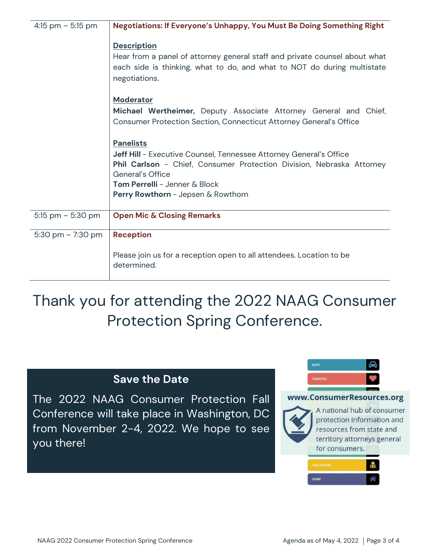| 4:15 pm $-$ 5:15 pm | Negotiations: If Everyone's Unhappy, You Must Be Doing Something Right                                                                                                                                                                                     |  |  |
|---------------------|------------------------------------------------------------------------------------------------------------------------------------------------------------------------------------------------------------------------------------------------------------|--|--|
|                     | <b>Description</b><br>Hear from a panel of attorney general staff and private counsel about what<br>each side is thinking, what to do, and what to NOT do during multistate<br>negotiations.                                                               |  |  |
|                     | <b>Moderator</b><br>Michael Wertheimer, Deputy Associate Attorney General and Chief,<br>Consumer Protection Section, Connecticut Attorney General's Office                                                                                                 |  |  |
|                     | <b>Panelists</b><br>Jeff Hill - Executive Counsel, Tennessee Attorney General's Office<br>Phil Carlson - Chief, Consumer Protection Division, Nebraska Attorney<br>General's Office<br>Tom Perrelli - Jenner & Block<br>Perry Rowthorn - Jepsen & Rowthorn |  |  |
| 5:15 pm $-$ 5:30 pm | <b>Open Mic &amp; Closing Remarks</b>                                                                                                                                                                                                                      |  |  |
| 5:30 pm $- 7:30$ pm | <b>Reception</b>                                                                                                                                                                                                                                           |  |  |
|                     | Please join us for a reception open to all attendees. Location to be<br>determined.                                                                                                                                                                        |  |  |

Thank you for attending the 2022 NAAG Consumer Protection Spring Conference.

## **Save the Date**

The 2022 NAAG Consumer Protection Fall Conference will take place in Washington, DC from November 2-4, 2022. We hope to see you there!